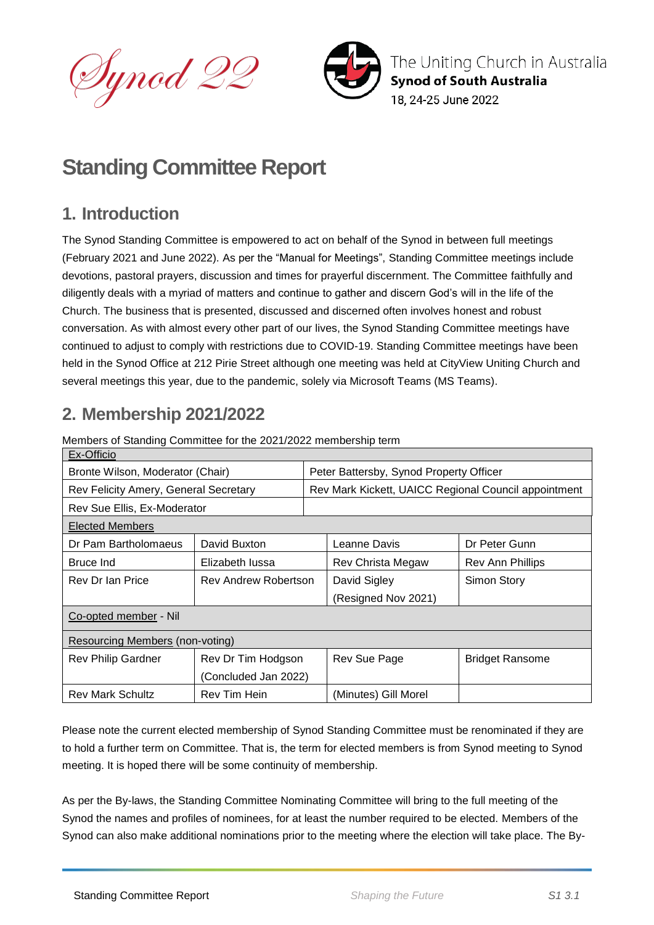



The Uniting Church in Australia **Synod of South Australia** 18. 24-25 June 2022

# **Standing Committee Report**

# **1. Introduction**

The Synod Standing Committee is empowered to act on behalf of the Synod in between full meetings (February 2021 and June 2022). As per the "Manual for Meetings", Standing Committee meetings include devotions, pastoral prayers, discussion and times for prayerful discernment. The Committee faithfully and diligently deals with a myriad of matters and continue to gather and discern God's will in the life of the Church. The business that is presented, discussed and discerned often involves honest and robust conversation. As with almost every other part of our lives, the Synod Standing Committee meetings have continued to adjust to comply with restrictions due to COVID-19. Standing Committee meetings have been held in the Synod Office at 212 Pirie Street although one meeting was held at CityView Uniting Church and several meetings this year, due to the pandemic, solely via Microsoft Teams (MS Teams).

# **2. Membership 2021/2022**

| Ex-Officio                             |                             |  |                                                      |                        |  |  |
|----------------------------------------|-----------------------------|--|------------------------------------------------------|------------------------|--|--|
| Bronte Wilson, Moderator (Chair)       |                             |  | Peter Battersby, Synod Property Officer              |                        |  |  |
| Rev Felicity Amery, General Secretary  |                             |  | Rev Mark Kickett, UAICC Regional Council appointment |                        |  |  |
| Rev Sue Ellis, Ex-Moderator            |                             |  |                                                      |                        |  |  |
| <b>Elected Members</b>                 |                             |  |                                                      |                        |  |  |
| Dr Pam Bartholomaeus                   | David Buxton                |  | Leanne Davis                                         | Dr Peter Gunn          |  |  |
| Bruce Ind                              | Elizabeth lussa             |  | Rev Christa Megaw                                    | Rev Ann Phillips       |  |  |
| Rev Dr Ian Price                       | <b>Rev Andrew Robertson</b> |  | David Sigley                                         | Simon Story            |  |  |
|                                        |                             |  | (Resigned Nov 2021)                                  |                        |  |  |
| Co-opted member - Nil                  |                             |  |                                                      |                        |  |  |
| <b>Resourcing Members (non-voting)</b> |                             |  |                                                      |                        |  |  |
| <b>Rev Philip Gardner</b>              | Rev Dr Tim Hodgson          |  | Rev Sue Page                                         | <b>Bridget Ransome</b> |  |  |
|                                        | (Concluded Jan 2022)        |  |                                                      |                        |  |  |
| <b>Rev Mark Schultz</b>                | Rev Tim Hein                |  | (Minutes) Gill Morel                                 |                        |  |  |

Members of Standing Committee for the 2021/2022 membership term

Please note the current elected membership of Synod Standing Committee must be renominated if they are to hold a further term on Committee. That is, the term for elected members is from Synod meeting to Synod meeting. It is hoped there will be some continuity of membership.

As per the By-laws, the Standing Committee Nominating Committee will bring to the full meeting of the Synod the names and profiles of nominees, for at least the number required to be elected. Members of the Synod can also make additional nominations prior to the meeting where the election will take place. The By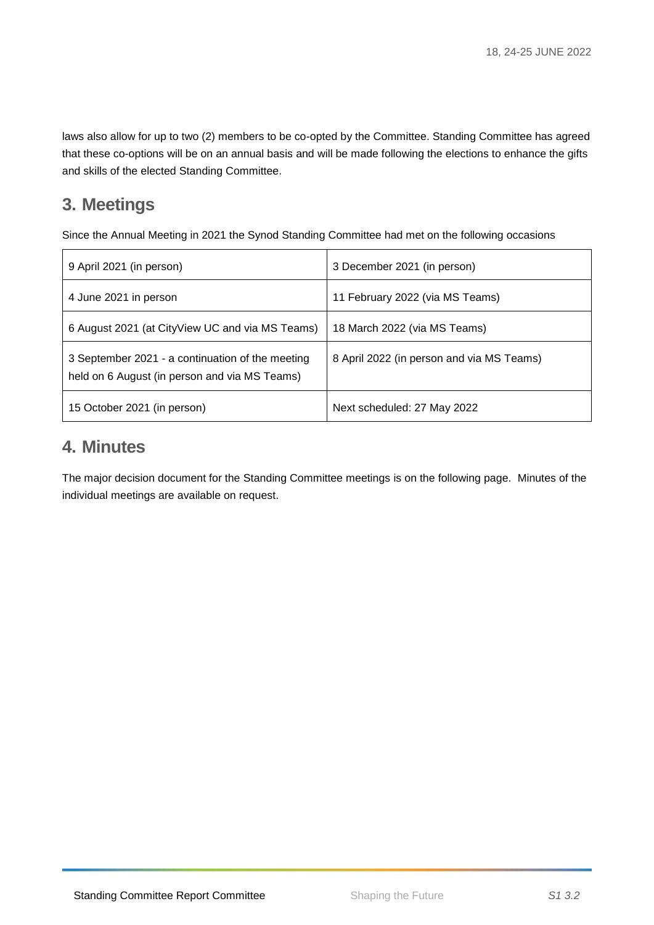laws also allow for up to two (2) members to be co-opted by the Committee. Standing Committee has agreed that these co-options will be on an annual basis and will be made following the elections to enhance the gifts and skills of the elected Standing Committee.

# **3. Meetings**

Since the Annual Meeting in 2021 the Synod Standing Committee had met on the following occasions

| 9 April 2021 (in person)                                                                          | 3 December 2021 (in person)               |
|---------------------------------------------------------------------------------------------------|-------------------------------------------|
| 4 June 2021 in person                                                                             | 11 February 2022 (via MS Teams)           |
| 6 August 2021 (at CityView UC and via MS Teams)                                                   | 18 March 2022 (via MS Teams)              |
| 3 September 2021 - a continuation of the meeting<br>held on 6 August (in person and via MS Teams) | 8 April 2022 (in person and via MS Teams) |
| 15 October 2021 (in person)                                                                       | Next scheduled: 27 May 2022               |

# **4. Minutes**

The major decision document for the Standing Committee meetings is on the following page. Minutes of the individual meetings are available on request.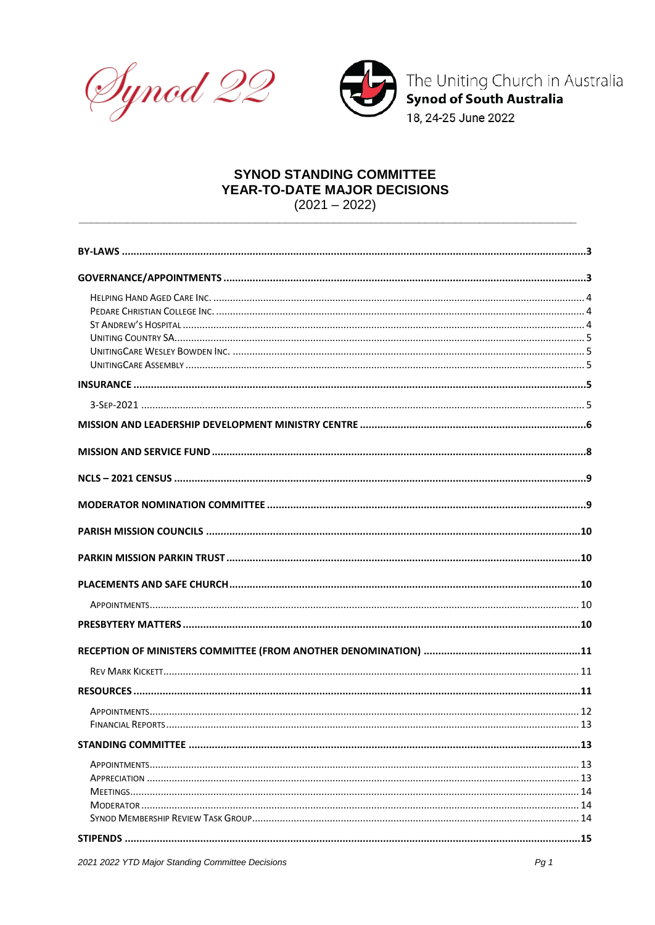



The Uniting Church in Australia<br>Synod of South Australia

18, 24-25 June 2022

# **SYNOD STANDING COMMITTEE** YEAR-TO-DATE MAJOR DECISIONS

 $(2021 - 2022)$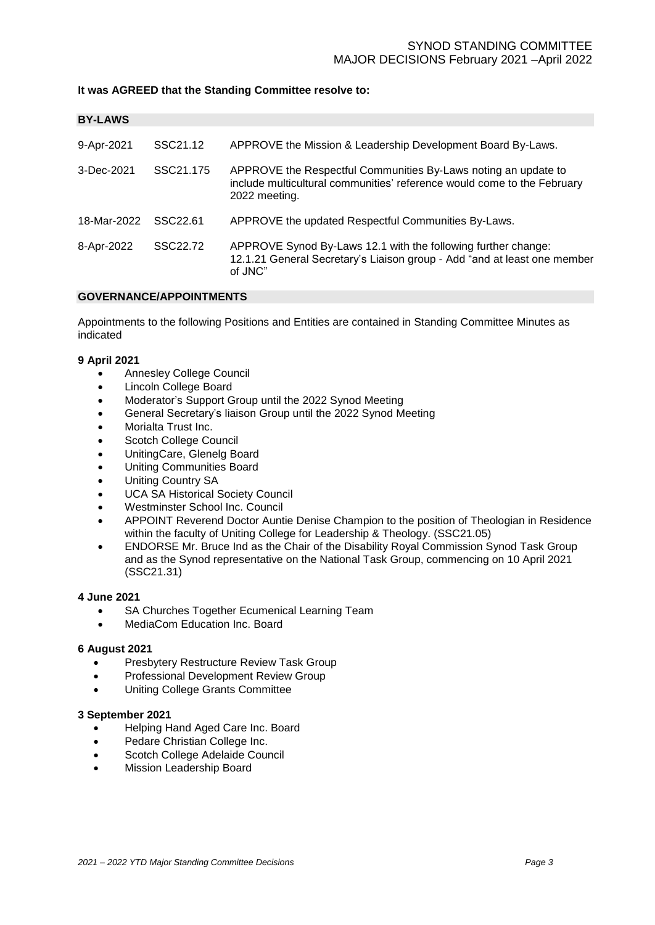### **It was AGREED that the Standing Committee resolve to:**

<span id="page-4-0"></span>

| <b>BY-LAWS</b> |           |                                                                                                                                                            |
|----------------|-----------|------------------------------------------------------------------------------------------------------------------------------------------------------------|
| 9-Apr-2021     | SSC21.12  | APPROVE the Mission & Leadership Development Board By-Laws.                                                                                                |
| 3-Dec-2021     | SSC21.175 | APPROVE the Respectful Communities By-Laws noting an update to<br>include multicultural communities' reference would come to the February<br>2022 meeting. |
| 18-Mar-2022    | SSC22.61  | APPROVE the updated Respectful Communities By-Laws.                                                                                                        |
| 8-Apr-2022     | SSC22.72  | APPROVE Synod By-Laws 12.1 with the following further change:<br>12.1.21 General Secretary's Liaison group - Add "and at least one member<br>of JNC"       |

#### <span id="page-4-1"></span>**GOVERNANCE/APPOINTMENTS**

Appointments to the following Positions and Entities are contained in Standing Committee Minutes as indicated

#### **9 April 2021**

- Annesley College Council
- Lincoln College Board
- Moderator's Support Group until the 2022 Synod Meeting
- General Secretary's liaison Group until the 2022 Synod Meeting
- Morialta Trust Inc.
- Scotch College Council
- UnitingCare, Glenelg Board
- Uniting Communities Board
- Uniting Country SA
- UCA SA Historical Society Council
- Westminster School Inc. Council
- APPOINT Reverend Doctor Auntie Denise Champion to the position of Theologian in Residence within the faculty of Uniting College for Leadership & Theology. (SSC21.05)
- ENDORSE Mr. Bruce Ind as the Chair of the Disability Royal Commission Synod Task Group and as the Synod representative on the National Task Group, commencing on 10 April 2021 (SSC21.31)

#### **4 June 2021**

- SA Churches Together Ecumenical Learning Team
- MediaCom Education Inc. Board

#### **6 August 2021**

- Presbytery Restructure Review Task Group
- Professional Development Review Group
- Uniting College Grants Committee

#### **3 September 2021**

- Helping Hand Aged Care Inc. Board
- Pedare Christian College Inc.
- Scotch College Adelaide Council
- Mission Leadership Board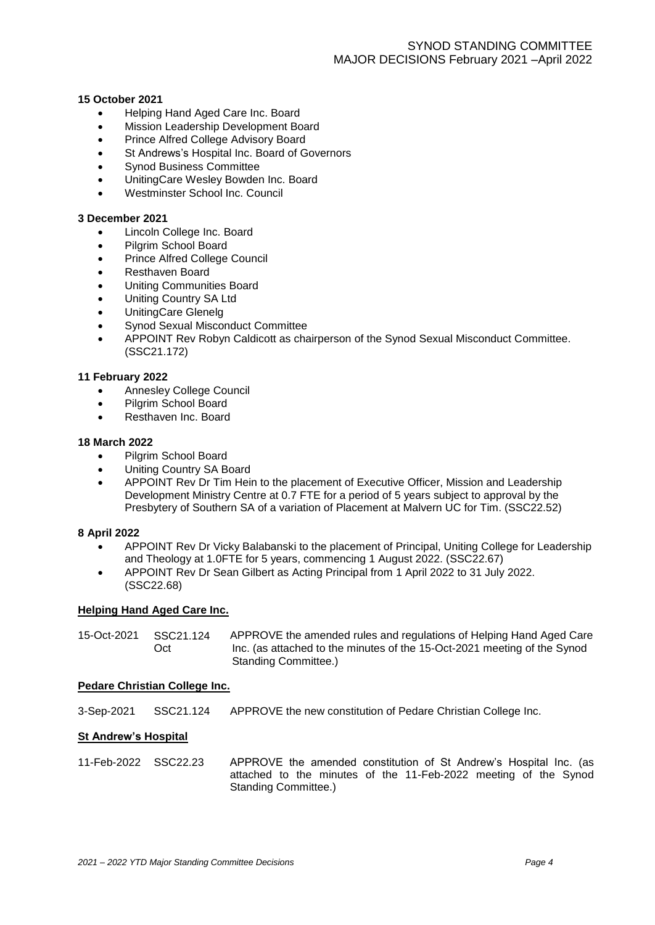#### **15 October 2021**

- Helping Hand Aged Care Inc. Board
- Mission Leadership Development Board
- Prince Alfred College Advisory Board
- St Andrews's Hospital Inc. Board of Governors
- Synod Business Committee
- UnitingCare Wesley Bowden Inc. Board
- Westminster School Inc. Council

#### **3 December 2021**

- Lincoln College Inc. Board
- Pilgrim School Board
- Prince Alfred College Council
- Resthaven Board
- Uniting Communities Board
- Uniting Country SA Ltd
- UnitingCare Glenelg
- Synod Sexual Misconduct Committee
- APPOINT Rev Robyn Caldicott as chairperson of the Synod Sexual Misconduct Committee. (SSC21.172)

#### **11 February 2022**

- Annesley College Council
- Pilgrim School Board
- Resthaven Inc. Board

#### **18 March 2022**

- Pilgrim School Board
- Uniting Country SA Board
- APPOINT Rev Dr Tim Hein to the placement of Executive Officer, Mission and Leadership Development Ministry Centre at 0.7 FTE for a period of 5 years subject to approval by the Presbytery of Southern SA of a variation of Placement at Malvern UC for Tim. (SSC22.52)

#### **8 April 2022**

- APPOINT Rev Dr Vicky Balabanski to the placement of Principal, Uniting College for Leadership and Theology at 1.0FTE for 5 years, commencing 1 August 2022. (SSC22.67)
- APPOINT Rev Dr Sean Gilbert as Acting Principal from 1 April 2022 to 31 July 2022. (SSC22.68)

#### <span id="page-5-0"></span>**Helping Hand Aged Care Inc.**

| 15-Oct-2021 | SSC21.124 | APPROVE the amended rules and regulations of Helping Hand Aged Care      |
|-------------|-----------|--------------------------------------------------------------------------|
|             | Oct       | Inc. (as attached to the minutes of the 15-Oct-2021 meeting of the Synod |
|             |           | Standing Committee.)                                                     |

#### <span id="page-5-1"></span>**Pedare Christian College Inc.**

3-Sep-2021 SSC21.124 APPROVE the new constitution of Pedare Christian College Inc.

#### <span id="page-5-2"></span>**St Andrew's Hospital**

11-Feb-2022 SSC22.23 APPROVE the amended constitution of St Andrew's Hospital Inc. (as attached to the minutes of the 11-Feb-2022 meeting of the Synod Standing Committee.)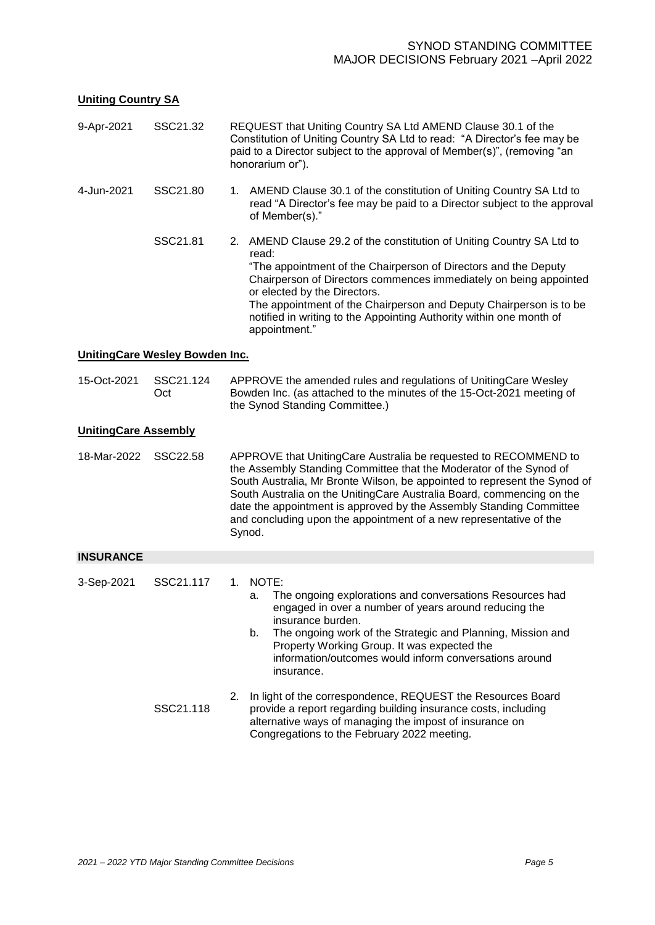# <span id="page-6-0"></span>**Uniting Country SA**

<span id="page-6-4"></span><span id="page-6-3"></span><span id="page-6-2"></span><span id="page-6-1"></span>

| 9-Apr-2021                  | SSC21.32                       | REQUEST that Uniting Country SA Ltd AMEND Clause 30.1 of the<br>Constitution of Uniting Country SA Ltd to read: "A Director's fee may be<br>paid to a Director subject to the approval of Member(s)", (removing "an<br>honorarium or").                                                                                                                                                                                                            |  |  |
|-----------------------------|--------------------------------|----------------------------------------------------------------------------------------------------------------------------------------------------------------------------------------------------------------------------------------------------------------------------------------------------------------------------------------------------------------------------------------------------------------------------------------------------|--|--|
| 4-Jun-2021                  | SSC21.80                       | 1. AMEND Clause 30.1 of the constitution of Uniting Country SA Ltd to<br>read "A Director's fee may be paid to a Director subject to the approval<br>of Member(s)."                                                                                                                                                                                                                                                                                |  |  |
|                             | SSC21.81                       | AMEND Clause 29.2 of the constitution of Uniting Country SA Ltd to<br>2.<br>read:<br>"The appointment of the Chairperson of Directors and the Deputy<br>Chairperson of Directors commences immediately on being appointed<br>or elected by the Directors.<br>The appointment of the Chairperson and Deputy Chairperson is to be<br>notified in writing to the Appointing Authority within one month of<br>appointment."                            |  |  |
|                             | UnitingCare Wesley Bowden Inc. |                                                                                                                                                                                                                                                                                                                                                                                                                                                    |  |  |
| 15-Oct-2021                 | SSC21.124<br>Oct               | APPROVE the amended rules and regulations of UnitingCare Wesley<br>Bowden Inc. (as attached to the minutes of the 15-Oct-2021 meeting of<br>the Synod Standing Committee.)                                                                                                                                                                                                                                                                         |  |  |
| <b>UnitingCare Assembly</b> |                                |                                                                                                                                                                                                                                                                                                                                                                                                                                                    |  |  |
| 18-Mar-2022                 | SSC22.58                       | APPROVE that UnitingCare Australia be requested to RECOMMEND to<br>the Assembly Standing Committee that the Moderator of the Synod of<br>South Australia, Mr Bronte Wilson, be appointed to represent the Synod of<br>South Australia on the UnitingCare Australia Board, commencing on the<br>date the appointment is approved by the Assembly Standing Committee<br>and concluding upon the appointment of a new representative of the<br>Synod. |  |  |
| <b>INSURANCE</b>            |                                |                                                                                                                                                                                                                                                                                                                                                                                                                                                    |  |  |
| 3-Sep-2021                  | SSC21.117                      | NOTE:<br>1.<br>The ongoing explorations and conversations Resources had<br>а.<br>engaged in over a number of years around reducing the<br>insurance burden.<br>b.<br>The ongoing work of the Strategic and Planning, Mission and<br>Property Working Group. It was expected the<br>information/outcomes would inform conversations around<br>insurance.                                                                                            |  |  |
|                             | SSC21.118                      | In light of the correspondence, REQUEST the Resources Board<br>2.<br>provide a report regarding building insurance costs, including<br>alternative ways of managing the impost of insurance on<br>Congregations to the February 2022 meeting.                                                                                                                                                                                                      |  |  |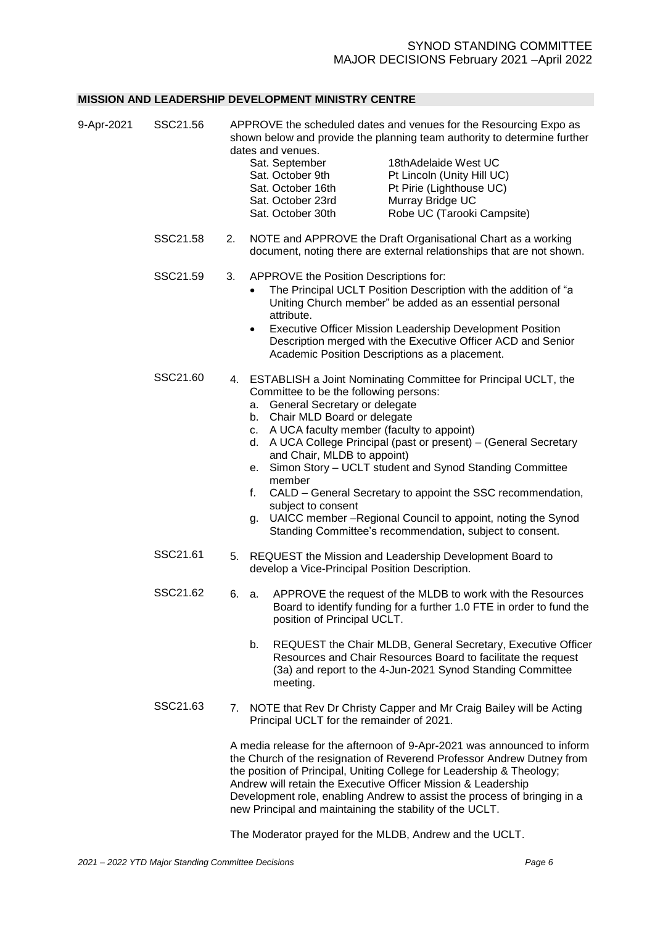#### <span id="page-7-0"></span>**MISSION AND LEADERSHIP DEVELOPMENT MINISTRY CENTRE**

| 9-Apr-2021 | SSC21.56 |    | dates and venues.<br>Sat. September<br>Sat. October 9th<br>Sat. October 16th<br>Sat. October 23rd<br>Sat. October 30th                                                                                                                        | APPROVE the scheduled dates and venues for the Resourcing Expo as<br>shown below and provide the planning team authority to determine further<br>18thAdelaide West UC<br>Pt Lincoln (Unity Hill UC)<br>Pt Pirie (Lighthouse UC)<br>Murray Bridge UC<br>Robe UC (Tarooki Campsite)                                                                                                            |
|------------|----------|----|-----------------------------------------------------------------------------------------------------------------------------------------------------------------------------------------------------------------------------------------------|----------------------------------------------------------------------------------------------------------------------------------------------------------------------------------------------------------------------------------------------------------------------------------------------------------------------------------------------------------------------------------------------|
|            | SSC21.58 | 2. |                                                                                                                                                                                                                                               | NOTE and APPROVE the Draft Organisational Chart as a working<br>document, noting there are external relationships that are not shown.                                                                                                                                                                                                                                                        |
|            | SSC21.59 | 3. | APPROVE the Position Descriptions for:<br>attribute.<br>$\bullet$<br>Academic Position Descriptions as a placement.                                                                                                                           | The Principal UCLT Position Description with the addition of "a<br>Uniting Church member" be added as an essential personal<br>Executive Officer Mission Leadership Development Position<br>Description merged with the Executive Officer ACD and Senior                                                                                                                                     |
|            | SSC21.60 |    | Committee to be the following persons:<br>a. General Secretary or delegate<br>b. Chair MLD Board or delegate<br>c. A UCA faculty member (faculty to appoint)<br>and Chair, MLDB to appoint)<br>е.<br>member<br>f.<br>subject to consent<br>g. | 4. ESTABLISH a Joint Nominating Committee for Principal UCLT, the<br>d. A UCA College Principal (past or present) - (General Secretary<br>Simon Story - UCLT student and Synod Standing Committee<br>CALD - General Secretary to appoint the SSC recommendation,<br>UAICC member - Regional Council to appoint, noting the Synod<br>Standing Committee's recommendation, subject to consent. |
|            | SSC21.61 |    | develop a Vice-Principal Position Description.                                                                                                                                                                                                | 5. REQUEST the Mission and Leadership Development Board to                                                                                                                                                                                                                                                                                                                                   |
|            | SSC21.62 | 6. | а.<br>position of Principal UCLT.                                                                                                                                                                                                             | APPROVE the request of the MLDB to work with the Resources<br>Board to identify funding for a further 1.0 FTE in order to fund the                                                                                                                                                                                                                                                           |
|            |          |    | b.<br>meeting.                                                                                                                                                                                                                                | REQUEST the Chair MLDB, General Secretary, Executive Officer<br>Resources and Chair Resources Board to facilitate the request<br>(3a) and report to the 4-Jun-2021 Synod Standing Committee                                                                                                                                                                                                  |
|            | SSC21.63 |    | Principal UCLT for the remainder of 2021.                                                                                                                                                                                                     | 7. NOTE that Rev Dr Christy Capper and Mr Craig Bailey will be Acting                                                                                                                                                                                                                                                                                                                        |
|            |          |    | Andrew will retain the Executive Officer Mission & Leadership<br>new Principal and maintaining the stability of the UCLT.                                                                                                                     | A media release for the afternoon of 9-Apr-2021 was announced to inform<br>the Church of the resignation of Reverend Professor Andrew Dutney from<br>the position of Principal, Uniting College for Leadership & Theology;<br>Development role, enabling Andrew to assist the process of bringing in a                                                                                       |

The Moderator prayed for the MLDB, Andrew and the UCLT.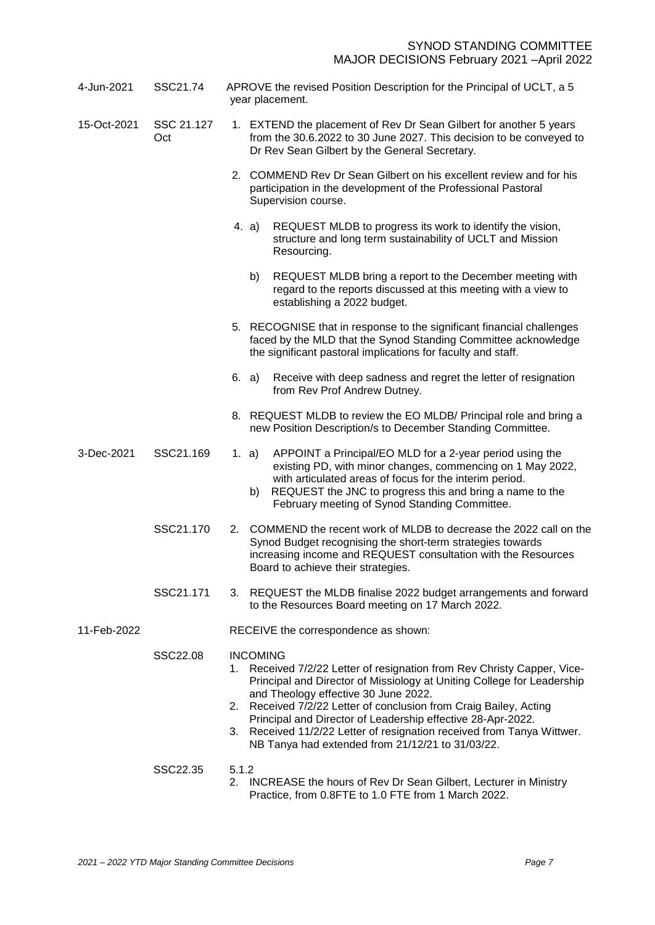| 4-Jun-2021  | SSC21.74          | APROVE the revised Position Description for the Principal of UCLT, a 5<br>year placement.                                                                                                                                                                                                                     |  |  |
|-------------|-------------------|---------------------------------------------------------------------------------------------------------------------------------------------------------------------------------------------------------------------------------------------------------------------------------------------------------------|--|--|
| 15-Oct-2021 | SSC 21.127<br>Oct | 1. EXTEND the placement of Rev Dr Sean Gilbert for another 5 years<br>from the 30.6.2022 to 30 June 2027. This decision to be conveyed to<br>Dr Rev Sean Gilbert by the General Secretary.                                                                                                                    |  |  |
|             |                   | 2. COMMEND Rev Dr Sean Gilbert on his excellent review and for his<br>participation in the development of the Professional Pastoral<br>Supervision course.                                                                                                                                                    |  |  |
|             |                   | REQUEST MLDB to progress its work to identify the vision,<br>4. a)<br>structure and long term sustainability of UCLT and Mission<br>Resourcing.                                                                                                                                                               |  |  |
|             |                   | b)<br>REQUEST MLDB bring a report to the December meeting with<br>regard to the reports discussed at this meeting with a view to<br>establishing a 2022 budget.                                                                                                                                               |  |  |
|             |                   | 5. RECOGNISE that in response to the significant financial challenges<br>faced by the MLD that the Synod Standing Committee acknowledge<br>the significant pastoral implications for faculty and staff.                                                                                                       |  |  |
|             |                   | Receive with deep sadness and regret the letter of resignation<br>6. a)<br>from Rev Prof Andrew Dutney.                                                                                                                                                                                                       |  |  |
|             |                   | 8. REQUEST MLDB to review the EO MLDB/ Principal role and bring a<br>new Position Description/s to December Standing Committee.                                                                                                                                                                               |  |  |
| 3-Dec-2021  | SSC21.169         | APPOINT a Principal/EO MLD for a 2-year period using the<br>1. a)<br>existing PD, with minor changes, commencing on 1 May 2022,<br>with articulated areas of focus for the interim period.<br>REQUEST the JNC to progress this and bring a name to the<br>b)<br>February meeting of Synod Standing Committee. |  |  |
|             | SSC21.170         | 2. COMMEND the recent work of MLDB to decrease the 2022 call on the<br>Synod Budget recognising the short-term strategies towards<br>increasing income and REQUEST consultation with the Resources<br>Board to achieve their strategies.                                                                      |  |  |
|             | SSC21.171         | 3. REQUEST the MLDB finalise 2022 budget arrangements and forward<br>to the Resources Board meeting on 17 March 2022.                                                                                                                                                                                         |  |  |
| 11-Feb-2022 |                   | RECEIVE the correspondence as shown:                                                                                                                                                                                                                                                                          |  |  |
|             | SSC22.08          | <b>INCOMING</b><br>1. Received 7/2/22 Letter of resignation from Rev Christy Capper, Vice-<br>Principal and Director of Missiology at Uniting College for Leadership<br>and Theology effective 30 June 2022.                                                                                                  |  |  |
|             |                   | 2. Received 7/2/22 Letter of conclusion from Craig Bailey, Acting<br>Principal and Director of Leadership effective 28-Apr-2022.<br>3. Received 11/2/22 Letter of resignation received from Tanya Wittwer.<br>NB Tanya had extended from 21/12/21 to 31/03/22.                                                |  |  |
|             | SSC22.35          | 5.1.2<br>2. INCREASE the hours of Rev Dr Sean Gilbert, Lecturer in Ministry<br>Practice, from 0.8FTE to 1.0 FTE from 1 March 2022.                                                                                                                                                                            |  |  |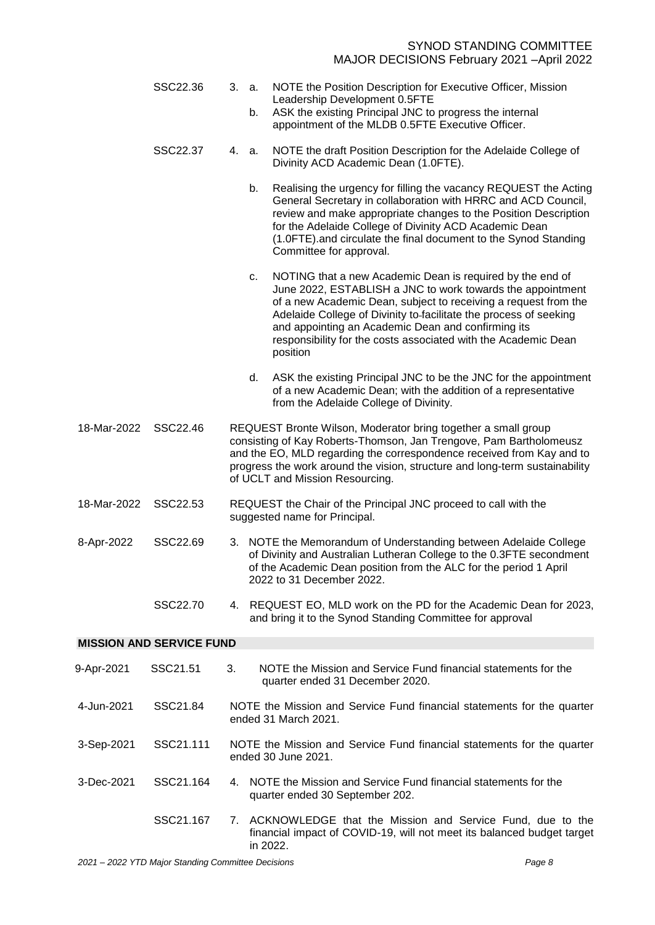<span id="page-9-0"></span>

|             | SSC22.36                        |                                                                                                | 3. a.<br>b.                                                                                      | NOTE the Position Description for Executive Officer, Mission<br>Leadership Development 0.5FTE<br>ASK the existing Principal JNC to progress the internal<br>appointment of the MLDB 0.5FTE Executive Officer.                                                                                                                                                                                       |  |
|-------------|---------------------------------|------------------------------------------------------------------------------------------------|--------------------------------------------------------------------------------------------------|-----------------------------------------------------------------------------------------------------------------------------------------------------------------------------------------------------------------------------------------------------------------------------------------------------------------------------------------------------------------------------------------------------|--|
|             | SSC22.37                        | 4.                                                                                             | a.                                                                                               | NOTE the draft Position Description for the Adelaide College of<br>Divinity ACD Academic Dean (1.0FTE).                                                                                                                                                                                                                                                                                             |  |
|             |                                 |                                                                                                | b.                                                                                               | Realising the urgency for filling the vacancy REQUEST the Acting<br>General Secretary in collaboration with HRRC and ACD Council,<br>review and make appropriate changes to the Position Description<br>for the Adelaide College of Divinity ACD Academic Dean<br>(1.0FTE).and circulate the final document to the Synod Standing<br>Committee for approval.                                        |  |
|             |                                 |                                                                                                | c.                                                                                               | NOTING that a new Academic Dean is required by the end of<br>June 2022, ESTABLISH a JNC to work towards the appointment<br>of a new Academic Dean, subject to receiving a request from the<br>Adelaide College of Divinity to-facilitate the process of seeking<br>and appointing an Academic Dean and confirming its<br>responsibility for the costs associated with the Academic Dean<br>position |  |
|             |                                 |                                                                                                | d.                                                                                               | ASK the existing Principal JNC to be the JNC for the appointment<br>of a new Academic Dean; with the addition of a representative<br>from the Adelaide College of Divinity.                                                                                                                                                                                                                         |  |
| 18-Mar-2022 | SSC22.46                        |                                                                                                |                                                                                                  | REQUEST Bronte Wilson, Moderator bring together a small group<br>consisting of Kay Roberts-Thomson, Jan Trengove, Pam Bartholomeusz<br>and the EO, MLD regarding the correspondence received from Kay and to<br>progress the work around the vision, structure and long-term sustainability<br>of UCLT and Mission Resourcing.                                                                      |  |
| 18-Mar-2022 | SSC22.53                        |                                                                                                | REQUEST the Chair of the Principal JNC proceed to call with the<br>suggested name for Principal. |                                                                                                                                                                                                                                                                                                                                                                                                     |  |
| 8-Apr-2022  | SSC22.69                        |                                                                                                |                                                                                                  | 3. NOTE the Memorandum of Understanding between Adelaide College<br>of Divinity and Australian Lutheran College to the 0.3FTE secondment<br>of the Academic Dean position from the ALC for the period 1 April<br>2022 to 31 December 2022.                                                                                                                                                          |  |
|             | SSC22.70                        |                                                                                                |                                                                                                  | 4. REQUEST EO, MLD work on the PD for the Academic Dean for 2023,<br>and bring it to the Synod Standing Committee for approval                                                                                                                                                                                                                                                                      |  |
|             | <b>MISSION AND SERVICE FUND</b> |                                                                                                |                                                                                                  |                                                                                                                                                                                                                                                                                                                                                                                                     |  |
| 9-Apr-2021  | SSC21.51                        | 3.                                                                                             |                                                                                                  | NOTE the Mission and Service Fund financial statements for the<br>quarter ended 31 December 2020.                                                                                                                                                                                                                                                                                                   |  |
| 4-Jun-2021  | SSC21.84                        | NOTE the Mission and Service Fund financial statements for the quarter<br>ended 31 March 2021. |                                                                                                  |                                                                                                                                                                                                                                                                                                                                                                                                     |  |
| 3-Sep-2021  | SSC21.111                       |                                                                                                |                                                                                                  | NOTE the Mission and Service Fund financial statements for the quarter<br>ended 30 June 2021.                                                                                                                                                                                                                                                                                                       |  |
| 3-Dec-2021  | SSC21.164                       | 4.                                                                                             |                                                                                                  | NOTE the Mission and Service Fund financial statements for the<br>quarter ended 30 September 202.                                                                                                                                                                                                                                                                                                   |  |
|             | SSC21.167                       | 7.                                                                                             |                                                                                                  | ACKNOWLEDGE that the Mission and Service Fund, due to the<br>financial impact of COVID-19, will not meet its balanced budget target<br>in 2022.                                                                                                                                                                                                                                                     |  |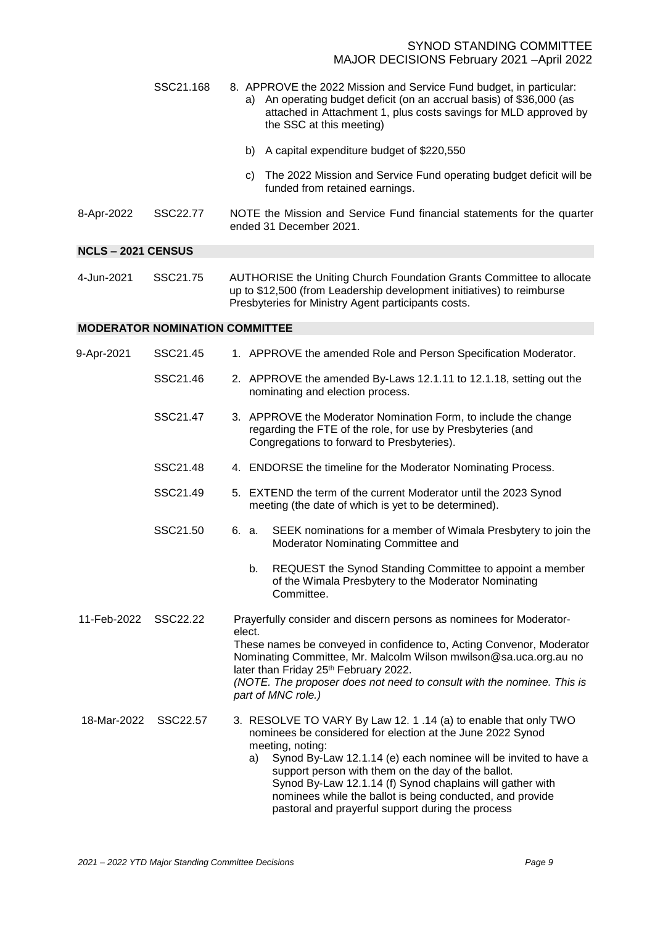|                         | SSC21.168 | 8. APPROVE the 2022 Mission and Service Fund budget, in particular:<br>An operating budget deficit (on an accrual basis) of \$36,000 (as<br>a)<br>attached in Attachment 1, plus costs savings for MLD approved by<br>the SSC at this meeting) |
|-------------------------|-----------|------------------------------------------------------------------------------------------------------------------------------------------------------------------------------------------------------------------------------------------------|
|                         |           | A capital expenditure budget of \$220,550<br>b)                                                                                                                                                                                                |
|                         |           | The 2022 Mission and Service Fund operating budget deficit will be<br>C)<br>funded from retained earnings.                                                                                                                                     |
| 8-Apr-2022              | SSC22.77  | NOTE the Mission and Service Fund financial statements for the quarter<br>ended 31 December 2021.                                                                                                                                              |
| <b>NCLS-2021 CENSUS</b> |           |                                                                                                                                                                                                                                                |
| 4-Jun-2021              | SSC21.75  | AUTHORISE the Uniting Church Foundation Grants Committee to allocate<br>up to \$12,500 (from Leadership development initiatives) to reimburse                                                                                                  |

# <span id="page-10-0"></span>Presbyteries for Ministry Agent participants costs. **MODERATOR NOMINATION COMMITTEE**

<span id="page-10-1"></span>

| 9-Apr-2021  | SSC21.45 |        | 1. APPROVE the amended Role and Person Specification Moderator.                                                                                                                                                                                                                                                                                                                                                                                                 |
|-------------|----------|--------|-----------------------------------------------------------------------------------------------------------------------------------------------------------------------------------------------------------------------------------------------------------------------------------------------------------------------------------------------------------------------------------------------------------------------------------------------------------------|
|             | SSC21.46 |        | 2. APPROVE the amended By-Laws 12.1.11 to 12.1.18, setting out the<br>nominating and election process.                                                                                                                                                                                                                                                                                                                                                          |
|             | SSC21.47 |        | 3. APPROVE the Moderator Nomination Form, to include the change<br>regarding the FTE of the role, for use by Presbyteries (and<br>Congregations to forward to Presbyteries).                                                                                                                                                                                                                                                                                    |
|             | SSC21.48 |        | 4. ENDORSE the timeline for the Moderator Nominating Process.                                                                                                                                                                                                                                                                                                                                                                                                   |
|             | SSC21.49 |        | 5. EXTEND the term of the current Moderator until the 2023 Synod<br>meeting (the date of which is yet to be determined).                                                                                                                                                                                                                                                                                                                                        |
|             | SSC21.50 | 6. a.  | SEEK nominations for a member of Wimala Presbytery to join the<br>Moderator Nominating Committee and                                                                                                                                                                                                                                                                                                                                                            |
|             |          |        | REQUEST the Synod Standing Committee to appoint a member<br>b.<br>of the Wimala Presbytery to the Moderator Nominating<br>Committee.                                                                                                                                                                                                                                                                                                                            |
| 11-Feb-2022 | SSC22.22 | elect. | Prayerfully consider and discern persons as nominees for Moderator-<br>These names be conveyed in confidence to, Acting Convenor, Moderator<br>Nominating Committee, Mr. Malcolm Wilson mwilson@sa.uca.org.au no<br>later than Friday 25th February 2022.<br>(NOTE. The proposer does not need to consult with the nominee. This is<br>part of MNC role.)                                                                                                       |
| 18-Mar-2022 | SSC22.57 |        | 3. RESOLVE TO VARY By Law 12. 1 .14 (a) to enable that only TWO<br>nominees be considered for election at the June 2022 Synod<br>meeting, noting:<br>Synod By-Law 12.1.14 (e) each nominee will be invited to have a<br>a)<br>support person with them on the day of the ballot.<br>Synod By-Law 12.1.14 (f) Synod chaplains will gather with<br>nominees while the ballot is being conducted, and provide<br>pastoral and prayerful support during the process |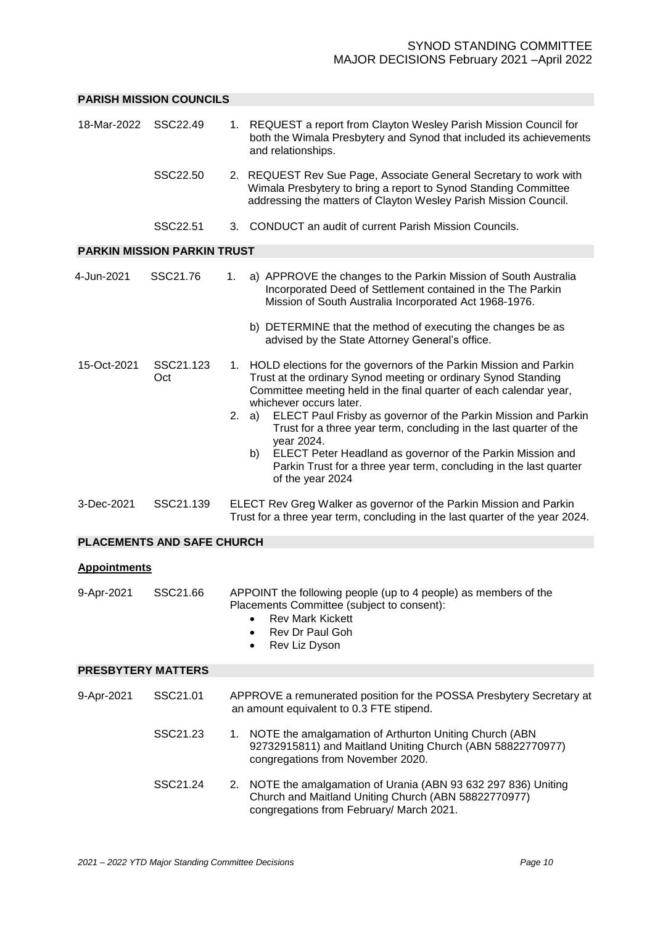### <span id="page-11-0"></span>**PARISH MISSION COUNCILS**

<span id="page-11-4"></span><span id="page-11-3"></span><span id="page-11-2"></span><span id="page-11-1"></span>

| 18-Mar-2022               | SSC22.49                           | 1. REQUEST a report from Clayton Wesley Parish Mission Council for<br>both the Wimala Presbytery and Synod that included its achievements<br>and relationships.                                                                                                                                                                                                                                                                                                                                                                                                         |
|---------------------------|------------------------------------|-------------------------------------------------------------------------------------------------------------------------------------------------------------------------------------------------------------------------------------------------------------------------------------------------------------------------------------------------------------------------------------------------------------------------------------------------------------------------------------------------------------------------------------------------------------------------|
|                           | SSC22.50                           | 2. REQUEST Rev Sue Page, Associate General Secretary to work with<br>Wimala Presbytery to bring a report to Synod Standing Committee<br>addressing the matters of Clayton Wesley Parish Mission Council.                                                                                                                                                                                                                                                                                                                                                                |
|                           | SSC22.51                           | 3. CONDUCT an audit of current Parish Mission Councils.                                                                                                                                                                                                                                                                                                                                                                                                                                                                                                                 |
|                           | <b>PARKIN MISSION PARKIN TRUST</b> |                                                                                                                                                                                                                                                                                                                                                                                                                                                                                                                                                                         |
| 4-Jun-2021                | SSC21.76                           | 1.<br>a) APPROVE the changes to the Parkin Mission of South Australia<br>Incorporated Deed of Settlement contained in the The Parkin<br>Mission of South Australia Incorporated Act 1968-1976.                                                                                                                                                                                                                                                                                                                                                                          |
|                           |                                    | b) DETERMINE that the method of executing the changes be as<br>advised by the State Attorney General's office.                                                                                                                                                                                                                                                                                                                                                                                                                                                          |
| 15-Oct-2021               | SSC21.123<br>Oct                   | 1. HOLD elections for the governors of the Parkin Mission and Parkin<br>Trust at the ordinary Synod meeting or ordinary Synod Standing<br>Committee meeting held in the final quarter of each calendar year,<br>whichever occurs later.<br>ELECT Paul Frisby as governor of the Parkin Mission and Parkin<br>2.<br>a)<br>Trust for a three year term, concluding in the last quarter of the<br>year 2024.<br>ELECT Peter Headland as governor of the Parkin Mission and<br>b)<br>Parkin Trust for a three year term, concluding in the last quarter<br>of the year 2024 |
| 3-Dec-2021                | SSC21.139                          | ELECT Rev Greg Walker as governor of the Parkin Mission and Parkin<br>Trust for a three year term, concluding in the last quarter of the year 2024.                                                                                                                                                                                                                                                                                                                                                                                                                     |
|                           | <b>PLACEMENTS AND SAFE CHURCH</b>  |                                                                                                                                                                                                                                                                                                                                                                                                                                                                                                                                                                         |
| <b>Appointments</b>       |                                    |                                                                                                                                                                                                                                                                                                                                                                                                                                                                                                                                                                         |
| 9-Apr-2021                | SSC21.66                           | APPOINT the following people (up to 4 people) as members of the<br>Placements Committee (subject to consent):<br><b>Rev Mark Kickett</b><br><b>Rev Dr Paul Goh</b><br>Rev Liz Dyson<br>٠                                                                                                                                                                                                                                                                                                                                                                                |
| <b>PRESBYTERY MATTERS</b> |                                    |                                                                                                                                                                                                                                                                                                                                                                                                                                                                                                                                                                         |
| 9-Apr-2021                | SSC21.01                           | APPROVE a remunerated position for the POSSA Presbytery Secretary at<br>an amount equivalent to 0.3 FTE stipend.                                                                                                                                                                                                                                                                                                                                                                                                                                                        |
|                           | SSC21.23                           | NOTE the amalgamation of Arthurton Uniting Church (ABN<br>1.<br>92732915811) and Maitland Uniting Church (ABN 58822770977)<br>congregations from November 2020.                                                                                                                                                                                                                                                                                                                                                                                                         |
|                           | SSC21.24                           | 2. NOTE the amalgamation of Urania (ABN 93 632 297 836) Uniting<br>Church and Maitland Uniting Church (ABN 58822770977)<br>congregations from February/ March 2021.                                                                                                                                                                                                                                                                                                                                                                                                     |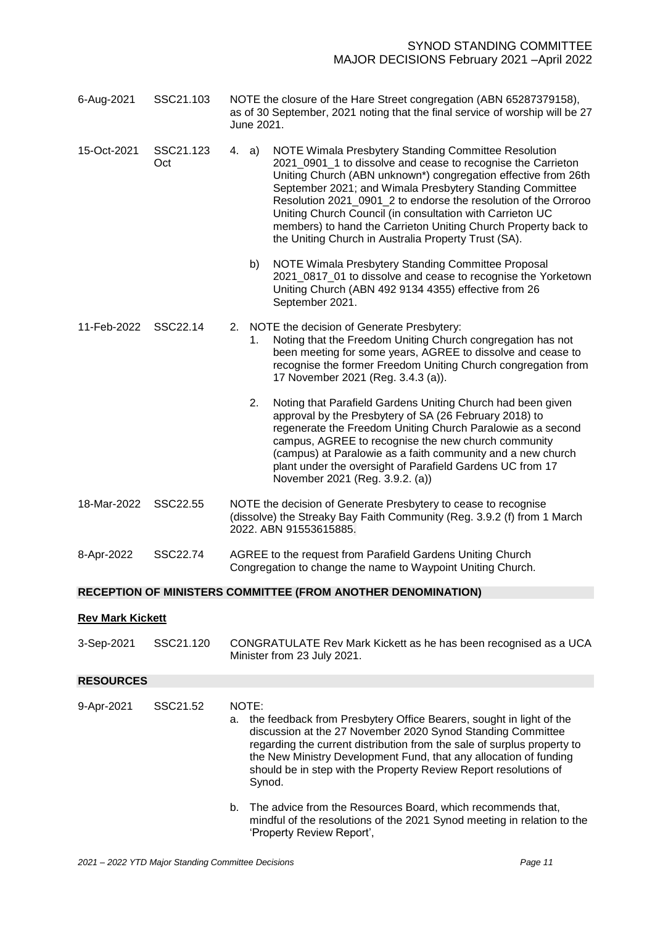| 6-Aug-2021                                                          | SSC21.103        | NOTE the closure of the Hare Street congregation (ABN 65287379158),<br>as of 30 September, 2021 noting that the final service of worship will be 27<br>June 2021.                                                                                                                                                                                                                                                                                                                                                     |  |  |
|---------------------------------------------------------------------|------------------|-----------------------------------------------------------------------------------------------------------------------------------------------------------------------------------------------------------------------------------------------------------------------------------------------------------------------------------------------------------------------------------------------------------------------------------------------------------------------------------------------------------------------|--|--|
| 15-Oct-2021                                                         | SSC21.123<br>Oct | NOTE Wimala Presbytery Standing Committee Resolution<br>4. a)<br>2021 0901 1 to dissolve and cease to recognise the Carrieton<br>Uniting Church (ABN unknown*) congregation effective from 26th<br>September 2021; and Wimala Presbytery Standing Committee<br>Resolution 2021_0901_2 to endorse the resolution of the Orroroo<br>Uniting Church Council (in consultation with Carrieton UC<br>members) to hand the Carrieton Uniting Church Property back to<br>the Uniting Church in Australia Property Trust (SA). |  |  |
|                                                                     |                  | NOTE Wimala Presbytery Standing Committee Proposal<br>b)<br>2021_0817_01 to dissolve and cease to recognise the Yorketown<br>Uniting Church (ABN 492 9134 4355) effective from 26<br>September 2021.                                                                                                                                                                                                                                                                                                                  |  |  |
| 11-Feb-2022                                                         | SSC22.14         | 2. NOTE the decision of Generate Presbytery:<br>Noting that the Freedom Uniting Church congregation has not<br>1.<br>been meeting for some years, AGREE to dissolve and cease to<br>recognise the former Freedom Uniting Church congregation from<br>17 November 2021 (Reg. 3.4.3 (a)).                                                                                                                                                                                                                               |  |  |
|                                                                     |                  | 2.<br>Noting that Parafield Gardens Uniting Church had been given<br>approval by the Presbytery of SA (26 February 2018) to<br>regenerate the Freedom Uniting Church Paralowie as a second<br>campus, AGREE to recognise the new church community<br>(campus) at Paralowie as a faith community and a new church<br>plant under the oversight of Parafield Gardens UC from 17<br>November 2021 (Reg. 3.9.2. (a))                                                                                                      |  |  |
| 18-Mar-2022                                                         | SSC22.55         | NOTE the decision of Generate Presbytery to cease to recognise<br>(dissolve) the Streaky Bay Faith Community (Reg. 3.9.2 (f) from 1 March<br>2022. ABN 91553615885.                                                                                                                                                                                                                                                                                                                                                   |  |  |
| 8-Apr-2022                                                          | SSC22.74         | AGREE to the request from Parafield Gardens Uniting Church<br>Congregation to change the name to Waypoint Uniting Church.                                                                                                                                                                                                                                                                                                                                                                                             |  |  |
| <b>RECEPTION OF MINISTERS COMMITTEE (FROM ANOTHER DENOMINATION)</b> |                  |                                                                                                                                                                                                                                                                                                                                                                                                                                                                                                                       |  |  |
| <b>Rev Mark Kickett</b>                                             |                  |                                                                                                                                                                                                                                                                                                                                                                                                                                                                                                                       |  |  |
| 3-Sep-2021                                                          | SSC21.120        | CONGRATULATE Rev Mark Kickett as he has been recognised as a UCA<br>Minister from 23 July 2021.                                                                                                                                                                                                                                                                                                                                                                                                                       |  |  |
| <b>RESOURCES</b>                                                    |                  |                                                                                                                                                                                                                                                                                                                                                                                                                                                                                                                       |  |  |

<span id="page-12-2"></span><span id="page-12-1"></span><span id="page-12-0"></span>

| 9-Apr-2021 | SSC21.52 | а. | NOTE:<br>the feedback from Presbytery Office Bearers, sought in light of the<br>discussion at the 27 November 2020 Synod Standing Committee<br>regarding the current distribution from the sale of surplus property to<br>the New Ministry Development Fund, that any allocation of funding<br>should be in step with the Property Review Report resolutions of<br>Synod. |
|------------|----------|----|---------------------------------------------------------------------------------------------------------------------------------------------------------------------------------------------------------------------------------------------------------------------------------------------------------------------------------------------------------------------------|
|            |          | b. | The advice from the Resources Board, which recommends that,<br>mindful of the resolutions of the 2021 Synod meeting in relation to the<br>'Property Review Report',                                                                                                                                                                                                       |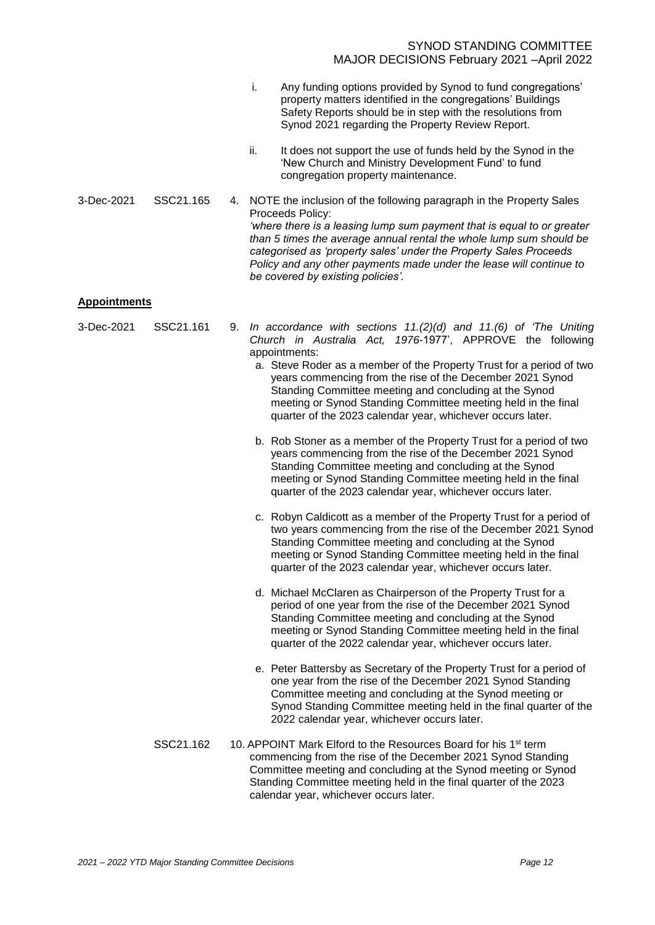- i. Any funding options provided by Synod to fund congregations' property matters identified in the congregations' Buildings Safety Reports should be in step with the resolutions from Synod 2021 regarding the Property Review Report.
- ii. It does not support the use of funds held by the Synod in the 'New Church and Ministry Development Fund' to fund congregation property maintenance.
- 3-Dec-2021 SSC21.165 4. NOTE the inclusion of the following paragraph in the Property Sales Proceeds Policy: *'where there is a leasing lump sum payment that is equal to or greater than 5 times the average annual rental the whole lump sum should be categorised as 'property sales' under the Property Sales Proceeds Policy and any other payments made under the lease will continue to be covered by existing policies'.*

#### <span id="page-13-0"></span>**Appointments**

| 3-Dec-2021 | SSC21.161 | 9. In accordance with sections $11.(2)(d)$ and $11.(6)$ of 'The Uniting<br>Church in Australia Act, 1976-1977', APPROVE the following<br>appointments:<br>a. Steve Roder as a member of the Property Trust for a period of two<br>years commencing from the rise of the December 2021 Synod<br>Standing Committee meeting and concluding at the Synod<br>meeting or Synod Standing Committee meeting held in the final<br>quarter of the 2023 calendar year, whichever occurs later. |
|------------|-----------|--------------------------------------------------------------------------------------------------------------------------------------------------------------------------------------------------------------------------------------------------------------------------------------------------------------------------------------------------------------------------------------------------------------------------------------------------------------------------------------|
|            |           | b. Rob Stoner as a member of the Property Trust for a period of two<br>years commencing from the rise of the December 2021 Synod<br>Standing Committee meeting and concluding at the Synod<br>meeting or Synod Standing Committee meeting held in the final<br>quarter of the 2023 calendar year, whichever occurs later.                                                                                                                                                            |
|            |           | c. Robyn Caldicott as a member of the Property Trust for a period of<br>two years commencing from the rise of the December 2021 Synod<br>Standing Committee meeting and concluding at the Synod<br>meeting or Synod Standing Committee meeting held in the final<br>quarter of the 2023 calendar year, whichever occurs later.                                                                                                                                                       |
|            |           | d. Michael McClaren as Chairperson of the Property Trust for a<br>period of one year from the rise of the December 2021 Synod<br>Standing Committee meeting and concluding at the Synod<br>meeting or Synod Standing Committee meeting held in the final<br>quarter of the 2022 calendar year, whichever occurs later.                                                                                                                                                               |
|            |           | e. Peter Battersby as Secretary of the Property Trust for a period of<br>one year from the rise of the December 2021 Synod Standing<br>Committee meeting and concluding at the Synod meeting or<br>Synod Standing Committee meeting held in the final quarter of the<br>2022 calendar year, whichever occurs later.                                                                                                                                                                  |
|            | SSC21.162 | 10. APPOINT Mark Elford to the Resources Board for his 1 <sup>st</sup> term<br>commencing from the rise of the December 2021 Synod Standing<br>Committee meeting and concluding at the Synod meeting or Synod<br>Standing Committee meeting held in the final quarter of the 2023<br>calendar year, whichever occurs later.                                                                                                                                                          |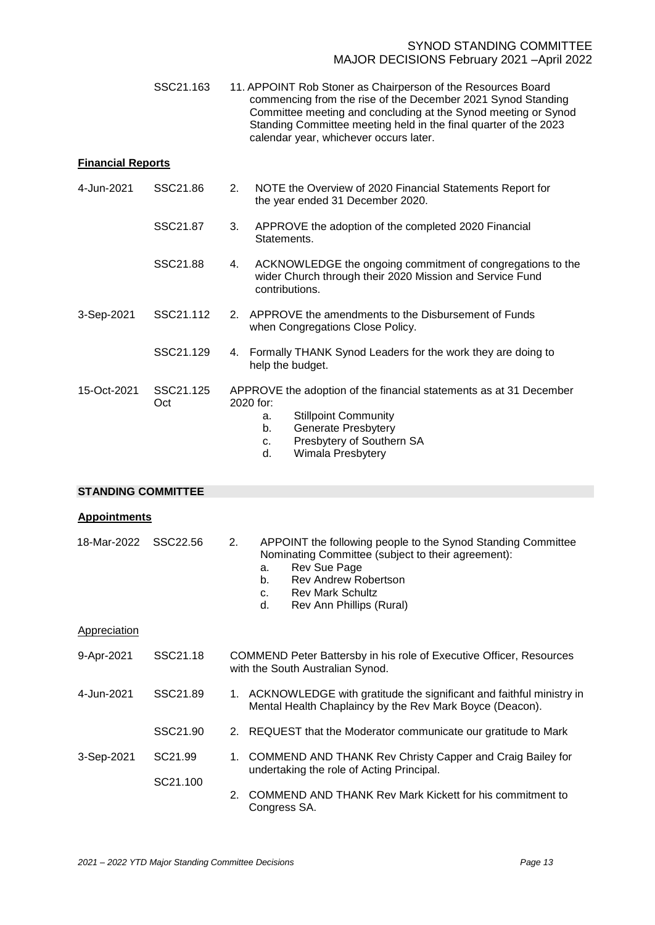<span id="page-14-3"></span><span id="page-14-2"></span><span id="page-14-1"></span><span id="page-14-0"></span>

|                           | SSC21.163        | 11. APPOINT Rob Stoner as Chairperson of the Resources Board<br>commencing from the rise of the December 2021 Synod Standing<br>Committee meeting and concluding at the Synod meeting or Synod<br>Standing Committee meeting held in the final quarter of the 2023<br>calendar year, whichever occurs later. |  |  |  |  |  |
|---------------------------|------------------|--------------------------------------------------------------------------------------------------------------------------------------------------------------------------------------------------------------------------------------------------------------------------------------------------------------|--|--|--|--|--|
| <b>Financial Reports</b>  |                  |                                                                                                                                                                                                                                                                                                              |  |  |  |  |  |
| 4-Jun-2021                | SSC21.86         | 2.<br>NOTE the Overview of 2020 Financial Statements Report for<br>the year ended 31 December 2020.                                                                                                                                                                                                          |  |  |  |  |  |
|                           | SSC21.87         | APPROVE the adoption of the completed 2020 Financial<br>3.<br>Statements.                                                                                                                                                                                                                                    |  |  |  |  |  |
|                           | SSC21.88         | ACKNOWLEDGE the ongoing commitment of congregations to the<br>wider Church through their 2020 Mission and Service Fund<br>contributions.                                                                                                                                                                     |  |  |  |  |  |
| 3-Sep-2021                | SSC21.112        | 2. APPROVE the amendments to the Disbursement of Funds<br>when Congregations Close Policy.                                                                                                                                                                                                                   |  |  |  |  |  |
|                           | SSC21.129        | Formally THANK Synod Leaders for the work they are doing to<br>help the budget.                                                                                                                                                                                                                              |  |  |  |  |  |
| 15-Oct-2021               | SSC21.125<br>Oct | APPROVE the adoption of the financial statements as at 31 December<br>2020 for:<br><b>Stillpoint Community</b><br>а.<br>Generate Presbytery<br>b.<br>Presbytery of Southern SA<br>C.<br>d.<br>Wimala Presbytery                                                                                              |  |  |  |  |  |
| <b>STANDING COMMITTEE</b> |                  |                                                                                                                                                                                                                                                                                                              |  |  |  |  |  |
| <b>Appointments</b>       |                  |                                                                                                                                                                                                                                                                                                              |  |  |  |  |  |
| 18-Mar-2022               | SSC22.56         | 2.<br>APPOINT the following people to the Synod Standing Committee<br>Nominating Committee (subject to their agreement):<br>Rev Sue Page<br>a.<br>b.<br>Rev Andrew Robertson<br><b>Rev Mark Schultz</b><br>c.<br>d.<br>Rev Ann Phillips (Rural)                                                              |  |  |  |  |  |
| <b>Appreciation</b>       |                  |                                                                                                                                                                                                                                                                                                              |  |  |  |  |  |
| 9-Apr-2021                | SSC21.18         | COMMEND Peter Battersby in his role of Executive Officer, Resources<br>with the South Australian Synod.                                                                                                                                                                                                      |  |  |  |  |  |
| 4-Jun-2021                | SSC21.89         | 1. ACKNOWLEDGE with gratitude the significant and faithful ministry in<br>Mental Health Chaplaincy by the Rev Mark Boyce (Deacon).                                                                                                                                                                           |  |  |  |  |  |
|                           | SSC21.90         | 2. REQUEST that the Moderator communicate our gratitude to Mark                                                                                                                                                                                                                                              |  |  |  |  |  |
| 3-Sep-2021                | SC21.99          | COMMEND AND THANK Rev Christy Capper and Craig Bailey for<br>1.<br>undertaking the role of Acting Principal.                                                                                                                                                                                                 |  |  |  |  |  |
|                           | SC21.100         | <b>COMMEND AND THANK Rev Mark Kickett for his commitment to</b><br>2.<br>Congress SA.                                                                                                                                                                                                                        |  |  |  |  |  |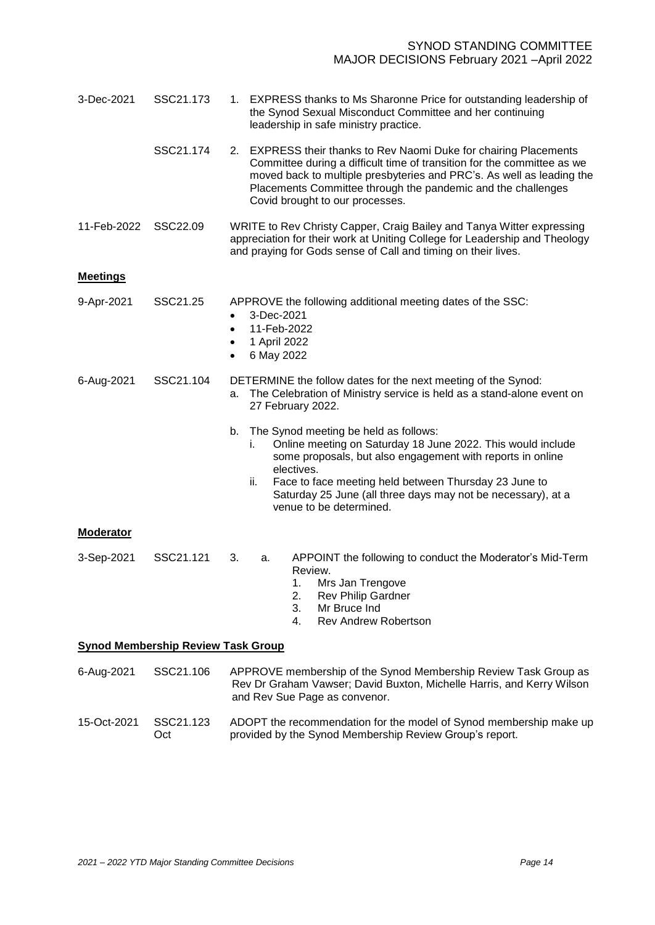<span id="page-15-0"></span>

| 3-Dec-2021       | SSC21.173                                 | 1. EXPRESS thanks to Ms Sharonne Price for outstanding leadership of<br>the Synod Sexual Misconduct Committee and her continuing<br>leadership in safe ministry practice.                                                                                                                                                                               |  |  |
|------------------|-------------------------------------------|---------------------------------------------------------------------------------------------------------------------------------------------------------------------------------------------------------------------------------------------------------------------------------------------------------------------------------------------------------|--|--|
|                  | SSC21.174                                 | 2. EXPRESS their thanks to Rev Naomi Duke for chairing Placements<br>Committee during a difficult time of transition for the committee as we<br>moved back to multiple presbyteries and PRC's. As well as leading the<br>Placements Committee through the pandemic and the challenges<br>Covid brought to our processes.                                |  |  |
| 11-Feb-2022      | SSC22.09                                  | WRITE to Rev Christy Capper, Craig Bailey and Tanya Witter expressing<br>appreciation for their work at Uniting College for Leadership and Theology<br>and praying for Gods sense of Call and timing on their lives.                                                                                                                                    |  |  |
| <b>Meetings</b>  |                                           |                                                                                                                                                                                                                                                                                                                                                         |  |  |
| 9-Apr-2021       | SSC21.25                                  | APPROVE the following additional meeting dates of the SSC:<br>3-Dec-2021<br>$\bullet$<br>11-Feb-2022<br>$\bullet$<br>1 April 2022<br>٠<br>6 May 2022<br>$\bullet$                                                                                                                                                                                       |  |  |
| 6-Aug-2021       | SSC21.104                                 | DETERMINE the follow dates for the next meeting of the Synod:<br>The Celebration of Ministry service is held as a stand-alone event on<br>а.<br>27 February 2022.                                                                                                                                                                                       |  |  |
|                  |                                           | The Synod meeting be held as follows:<br>b.<br>Online meeting on Saturday 18 June 2022. This would include<br>i.<br>some proposals, but also engagement with reports in online<br>electives.<br>Face to face meeting held between Thursday 23 June to<br>ii.<br>Saturday 25 June (all three days may not be necessary), at a<br>venue to be determined. |  |  |
| <b>Moderator</b> |                                           |                                                                                                                                                                                                                                                                                                                                                         |  |  |
| 3-Sep-2021       | SSC21.121                                 | 3.<br>APPOINT the following to conduct the Moderator's Mid-Term<br>а.<br>Review.<br>1. Mrs Jan Trengove<br><b>Rev Philip Gardner</b><br>2.<br>3.<br>Mr Bruce Ind<br><b>Rev Andrew Robertson</b><br>4.                                                                                                                                                   |  |  |
|                  | <b>Synod Membership Review Task Group</b> |                                                                                                                                                                                                                                                                                                                                                         |  |  |
| 6-Aug-2021       | SSC21.106                                 | APPROVE membership of the Synod Membership Review Task Group as<br>Rev Dr Graham Vawser; David Buxton, Michelle Harris, and Kerry Wilson<br>and Rev Sue Page as convenor.                                                                                                                                                                               |  |  |

<span id="page-15-2"></span><span id="page-15-1"></span>15-Oct-2021 SSC21.123 Oct ADOPT the recommendation for the model of Synod membership make up provided by the Synod Membership Review Group's report.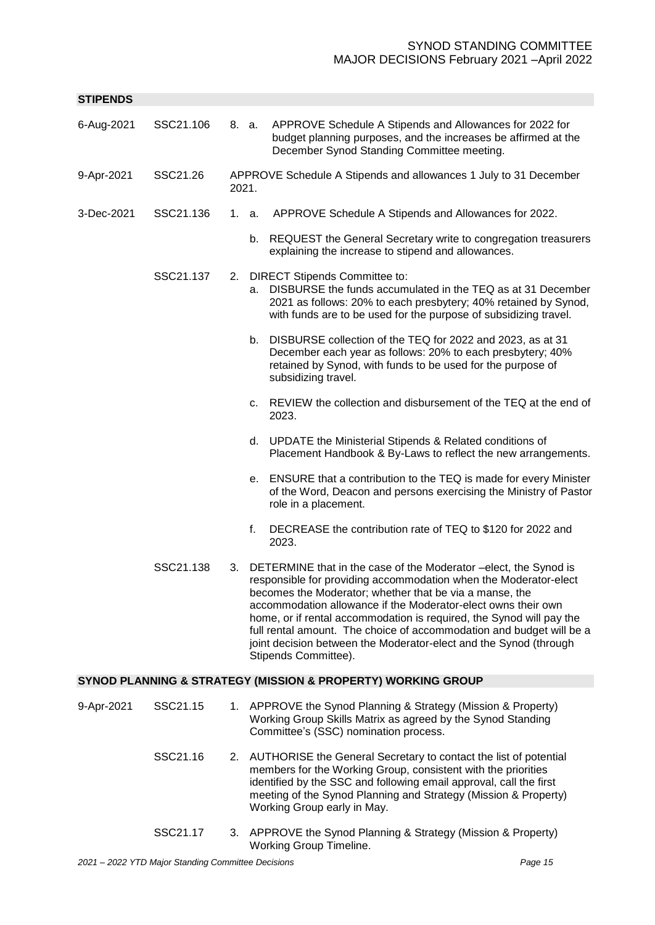<span id="page-16-0"></span>

| <b>STIPENDS</b> |           |       |    |                                                                                                                                                                                                                                                                                                                                                                                                                                                                                                                  |
|-----------------|-----------|-------|----|------------------------------------------------------------------------------------------------------------------------------------------------------------------------------------------------------------------------------------------------------------------------------------------------------------------------------------------------------------------------------------------------------------------------------------------------------------------------------------------------------------------|
| 6-Aug-2021      | SSC21.106 | 8. a. |    | APPROVE Schedule A Stipends and Allowances for 2022 for<br>budget planning purposes, and the increases be affirmed at the<br>December Synod Standing Committee meeting.                                                                                                                                                                                                                                                                                                                                          |
| 9-Apr-2021      | SSC21.26  | 2021. |    | APPROVE Schedule A Stipends and allowances 1 July to 31 December                                                                                                                                                                                                                                                                                                                                                                                                                                                 |
| 3-Dec-2021      | SSC21.136 | 1. a. |    | APPROVE Schedule A Stipends and Allowances for 2022.                                                                                                                                                                                                                                                                                                                                                                                                                                                             |
|                 |           |       |    | b. REQUEST the General Secretary write to congregation treasurers<br>explaining the increase to stipend and allowances.                                                                                                                                                                                                                                                                                                                                                                                          |
|                 | SSC21.137 |       | a. | 2. DIRECT Stipends Committee to:<br>DISBURSE the funds accumulated in the TEQ as at 31 December<br>2021 as follows: 20% to each presbytery; 40% retained by Synod,<br>with funds are to be used for the purpose of subsidizing travel.                                                                                                                                                                                                                                                                           |
|                 |           |       | b. | DISBURSE collection of the TEQ for 2022 and 2023, as at 31<br>December each year as follows: 20% to each presbytery; 40%<br>retained by Synod, with funds to be used for the purpose of<br>subsidizing travel.                                                                                                                                                                                                                                                                                                   |
|                 |           |       |    | c. REVIEW the collection and disbursement of the TEQ at the end of<br>2023.                                                                                                                                                                                                                                                                                                                                                                                                                                      |
|                 |           |       |    | d. UPDATE the Ministerial Stipends & Related conditions of<br>Placement Handbook & By-Laws to reflect the new arrangements.                                                                                                                                                                                                                                                                                                                                                                                      |
|                 |           |       | е. | ENSURE that a contribution to the TEQ is made for every Minister<br>of the Word, Deacon and persons exercising the Ministry of Pastor<br>role in a placement.                                                                                                                                                                                                                                                                                                                                                    |
|                 |           |       | f. | DECREASE the contribution rate of TEQ to \$120 for 2022 and<br>2023.                                                                                                                                                                                                                                                                                                                                                                                                                                             |
|                 | SSC21.138 |       |    | 3. DETERMINE that in the case of the Moderator -elect, the Synod is<br>responsible for providing accommodation when the Moderator-elect<br>becomes the Moderator; whether that be via a manse, the<br>accommodation allowance if the Moderator-elect owns their own<br>home, or if rental accommodation is required, the Synod will pay the<br>full rental amount. The choice of accommodation and budget will be a<br>joint decision between the Moderator-elect and the Synod (through<br>Stipends Committee). |
|                 |           |       |    | <b>SYNOD PLANNING &amp; STRATEGY (MISSION &amp; PROPERTY) WORKING GROUP</b>                                                                                                                                                                                                                                                                                                                                                                                                                                      |
| 9-Apr-2021      | SSC21.15  |       |    | 1. APPROVE the Synod Planning & Strategy (Mission & Property)<br>Working Group Skills Matrix as agreed by the Synod Standing<br>Committee's (SSC) nomination process.                                                                                                                                                                                                                                                                                                                                            |

- <span id="page-16-1"></span>SSC21.16 2. AUTHORISE the General Secretary to contact the list of potential members for the Working Group, consistent with the priorities identified by the SSC and following email approval, call the first meeting of the Synod Planning and Strategy (Mission & Property) Working Group early in May.
- SSC21.17 3. APPROVE the Synod Planning & Strategy (Mission & Property) Working Group Timeline.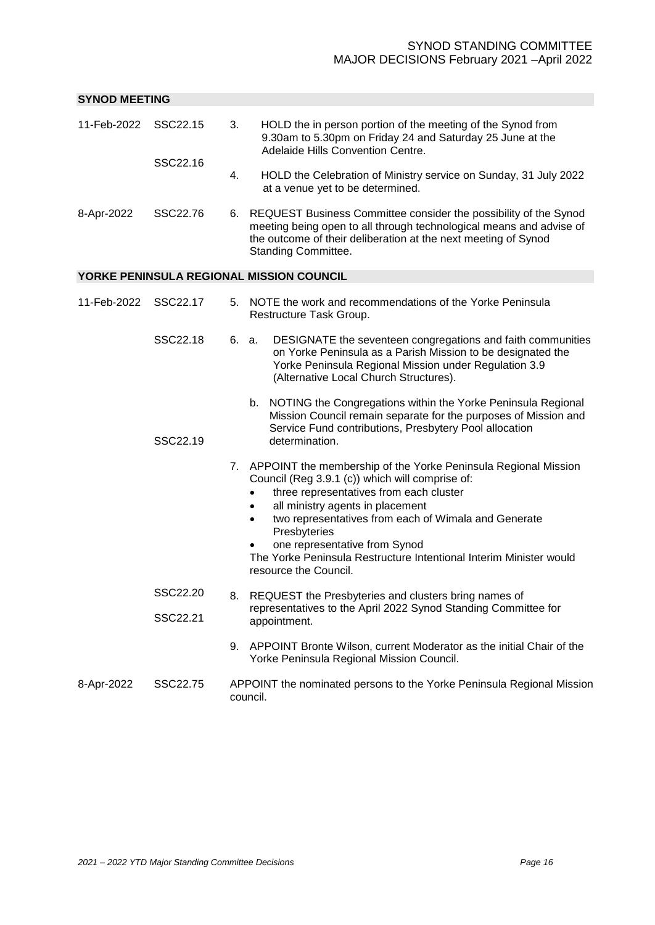<span id="page-17-1"></span><span id="page-17-0"></span>

| <b>SYNOD MEETING</b>    |                      |                                                                                   |                                                                                                                                                                                                                                                                                                                                                                                                                               |  |
|-------------------------|----------------------|-----------------------------------------------------------------------------------|-------------------------------------------------------------------------------------------------------------------------------------------------------------------------------------------------------------------------------------------------------------------------------------------------------------------------------------------------------------------------------------------------------------------------------|--|
| 11-Feb-2022             | SSC22.15             | 3.                                                                                | HOLD the in person portion of the meeting of the Synod from<br>9.30am to 5.30pm on Friday 24 and Saturday 25 June at the<br>Adelaide Hills Convention Centre.                                                                                                                                                                                                                                                                 |  |
|                         | SSC22.16             | 4.                                                                                | HOLD the Celebration of Ministry service on Sunday, 31 July 2022<br>at a venue yet to be determined.                                                                                                                                                                                                                                                                                                                          |  |
| 8-Apr-2022              | SSC22.76             |                                                                                   | 6. REQUEST Business Committee consider the possibility of the Synod<br>meeting being open to all through technological means and advise of<br>the outcome of their deliberation at the next meeting of Synod<br>Standing Committee.                                                                                                                                                                                           |  |
|                         |                      |                                                                                   | YORKE PENINSULA REGIONAL MISSION COUNCIL                                                                                                                                                                                                                                                                                                                                                                                      |  |
| 11-Feb-2022<br>SSC22.17 |                      |                                                                                   | 5. NOTE the work and recommendations of the Yorke Peninsula<br>Restructure Task Group.                                                                                                                                                                                                                                                                                                                                        |  |
|                         | SSC22.18             |                                                                                   | DESIGNATE the seventeen congregations and faith communities<br>6. a.<br>on Yorke Peninsula as a Parish Mission to be designated the<br>Yorke Peninsula Regional Mission under Regulation 3.9<br>(Alternative Local Church Structures).                                                                                                                                                                                        |  |
| b.<br>SSC22.19          |                      |                                                                                   | NOTING the Congregations within the Yorke Peninsula Regional<br>Mission Council remain separate for the purposes of Mission and<br>Service Fund contributions, Presbytery Pool allocation<br>determination.                                                                                                                                                                                                                   |  |
|                         |                      |                                                                                   | 7. APPOINT the membership of the Yorke Peninsula Regional Mission<br>Council (Reg 3.9.1 (c)) which will comprise of:<br>three representatives from each cluster<br>all ministry agents in placement<br>$\bullet$<br>two representatives from each of Wimala and Generate<br>٠<br>Presbyteries<br>one representative from Synod<br>The Yorke Peninsula Restructure Intentional Interim Minister would<br>resource the Council. |  |
|                         | SSC22.20<br>SSC22.21 |                                                                                   | 8. REQUEST the Presbyteries and clusters bring names of<br>representatives to the April 2022 Synod Standing Committee for<br>appointment.                                                                                                                                                                                                                                                                                     |  |
|                         |                      |                                                                                   | 9. APPOINT Bronte Wilson, current Moderator as the initial Chair of the<br>Yorke Peninsula Regional Mission Council.                                                                                                                                                                                                                                                                                                          |  |
| 8-Apr-2022              | SSC22.75             | APPOINT the nominated persons to the Yorke Peninsula Regional Mission<br>council. |                                                                                                                                                                                                                                                                                                                                                                                                                               |  |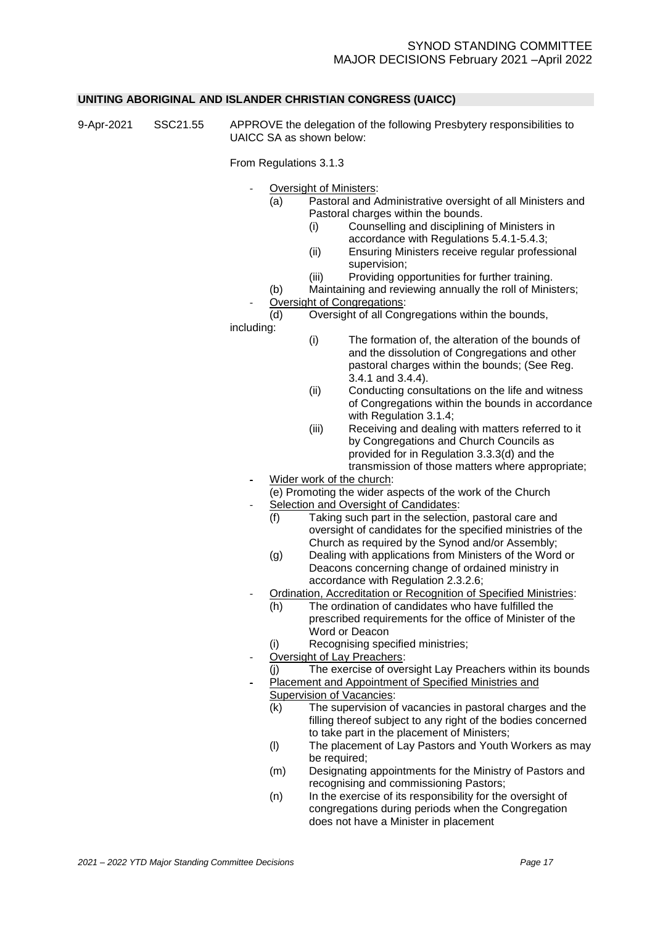#### <span id="page-18-0"></span>**UNITING ABORIGINAL AND ISLANDER CHRISTIAN CONGRESS (UAICC)**

9-Apr-2021 SSC21.55 APPROVE the delegation of the following Presbytery responsibilities to UAICC SA as shown below:

From Regulations 3.1.3

- Oversight of Ministers:
	- (a) Pastoral and Administrative oversight of all Ministers and Pastoral charges within the bounds.
		- (i) Counselling and disciplining of Ministers in
			- accordance with Regulations 5.4.1-5.4.3;
		- (ii) Ensuring Ministers receive regular professional supervision;
		- (iii) Providing opportunities for further training.
	- (b) Maintaining and reviewing annually the roll of Ministers;
- Oversight of Congregations:
- (d) Oversight of all Congregations within the bounds,

including:

- (i) The formation of, the alteration of the bounds of and the dissolution of Congregations and other pastoral charges within the bounds; (See Reg. 3.4.1 and 3.4.4).
- (ii) Conducting consultations on the life and witness of Congregations within the bounds in accordance with Regulation 3.1.4:
- (iii) Receiving and dealing with matters referred to it by Congregations and Church Councils as provided for in Regulation 3.3.3(d) and the transmission of those matters where appropriate;
- Wider work of the church:
	- (e) Promoting the wider aspects of the work of the Church Selection and Oversight of Candidates:
		- (f) Taking such part in the selection, pastoral care and oversight of candidates for the specified ministries of the Church as required by the Synod and/or Assembly;
		- (g) Dealing with applications from Ministers of the Word or Deacons concerning change of ordained ministry in accordance with Regulation 2.3.2.6;
- Ordination, Accreditation or Recognition of Specified Ministries:
	- (h) The ordination of candidates who have fulfilled the prescribed requirements for the office of Minister of the Word or Deacon
	- (i) Recognising specified ministries;
- Oversight of Lay Preachers:
	- (j) The exercise of oversight Lay Preachers within its bounds
	- Placement and Appointment of Specified Ministries and
	- Supervision of Vacancies:
		- (k) The supervision of vacancies in pastoral charges and the filling thereof subject to any right of the bodies concerned to take part in the placement of Ministers;
		- (l) The placement of Lay Pastors and Youth Workers as may be required;
	- (m) Designating appointments for the Ministry of Pastors and recognising and commissioning Pastors;
	- (n) In the exercise of its responsibility for the oversight of congregations during periods when the Congregation does not have a Minister in placement